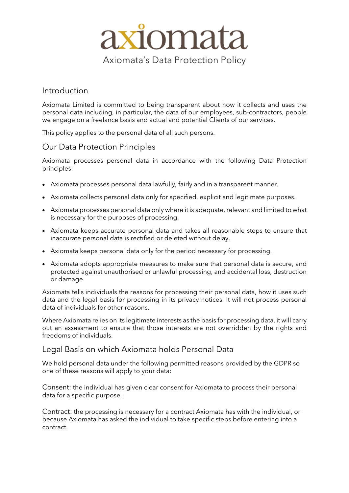

## Introduction

Axiomata Limited is committed to being transparent about how it collects and uses the personal data including, in particular, the data of our employees, sub-contractors, people we engage on a freelance basis and actual and potential Clients of our services.

This policy applies to the personal data of all such persons.

## Our Data Protection Principles

Axiomata processes personal data in accordance with the following Data Protection principles:

- Axiomata processes personal data lawfully, fairly and in a transparent manner.
- Axiomata collects personal data only for specified, explicit and legitimate purposes.
- Axiomata processes personal data only where it is adequate, relevant and limited to what is necessary for the purposes of processing.
- Axiomata keeps accurate personal data and takes all reasonable steps to ensure that inaccurate personal data is rectified or deleted without delay.
- Axiomata keeps personal data only for the period necessary for processing.
- Axiomata adopts appropriate measures to make sure that personal data is secure, and protected against unauthorised or unlawful processing, and accidental loss, destruction or damage.

Axiomata tells individuals the reasons for processing their personal data, how it uses such data and the legal basis for processing in its privacy notices. It will not process personal data of individuals for other reasons.

Where Axiomata relies on its legitimate interests as the basis for processing data, it will carry out an assessment to ensure that those interests are not overridden by the rights and freedoms of individuals.

#### Legal Basis on which Axiomata holds Personal Data

We hold personal data under the following permitted reasons provided by the GDPR so one of these reasons will apply to your data:

Consent: the individual has given clear consent for Axiomata to process their personal data for a specific purpose.

Contract: the processing is necessary for a contract Axiomata has with the individual, or because Axiomata has asked the individual to take specific steps before entering into a contract.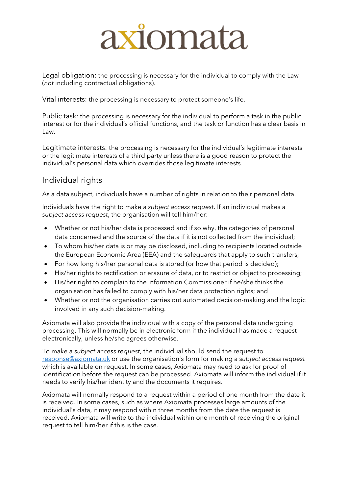# axiomata

Legal obligation: the processing is necessary for the individual to comply with the Law (*not* including contractual obligations).

Vital interests: the processing is necessary to protect someone's life.

Public task: the processing is necessary for the individual to perform a task in the public interest or for the individual's official functions, and the task or function has a clear basis in Law.

Legitimate interests: the processing is necessary for the individual's legitimate interests or the legitimate interests of a third party unless there is a good reason to protect the individual's personal data which overrides those legitimate interests.

# Individual rights

As a data subject, individuals have a number of rights in relation to their personal data.

Individuals have the right to make a *subject access request*. If an individual makes a *subject access request*, the organisation will tell him/her:

- Whether or not his/her data is processed and if so why, the categories of personal data concerned and the source of the data if it is not collected from the individual;
- To whom his/her data is or may be disclosed, including to recipients located outside the European Economic Area (EEA) and the safeguards that apply to such transfers;
- For how long his/her personal data is stored (or how that period is decided);
- His/her rights to rectification or erasure of data, or to restrict or object to processing;
- His/her right to complain to the Information Commissioner if he/she thinks the organisation has failed to comply with his/her data protection rights; and
- Whether or not the organisation carries out automated decision-making and the logic involved in any such decision-making.

Axiomata will also provide the individual with a copy of the personal data undergoing processing. This will normally be in electronic form if the individual has made a request electronically, unless he/she agrees otherwise.

To make a *subject access request*, the individual should send the request to [response@axiomata.uk](mailto:response@axiomata.uk) or use the organisation's form for making a s*[ubject access request](http://www.xperthr.co.uk/policies-and-documents/form-for-making-a-subject-access-request-compliant-with-the-gdpr-/162694/)* which is available on request. In some cases, Axiomata may need to ask for proof of identification before the request can be processed. Axiomata will inform the individual if it needs to verify his/her identity and the documents it requires.

Axiomata will normally respond to a request within a period of one month from the date it is received. In some cases, such as where Axiomata processes large amounts of the individual's data, it may respond within three months from the date the request is received. Axiomata will write to the individual within one month of receiving the original request to tell him/her if this is the case.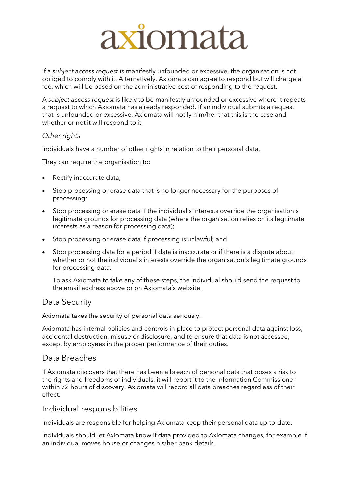# axiomata

If a *subject access request* is manifestly unfounded or excessive, the organisation is not obliged to comply with it. Alternatively, Axiomata can agree to respond but will charge a fee, which will be based on the administrative cost of responding to the request.

A *subject access request* is likely to be manifestly unfounded or excessive where it repeats a request to which Axiomata has already responded. If an individual submits a request that is unfounded or excessive, Axiomata will notify him/her that this is the case and whether or not it will respond to it.

#### *Other rights*

Individuals have a number of other rights in relation to their personal data.

They can require the organisation to:

- Rectify inaccurate data;
- Stop processing or erase data that is no longer necessary for the purposes of processing;
- Stop processing or erase data if the individual's interests override the organisation's legitimate grounds for processing data (where the organisation relies on its legitimate interests as a reason for processing data);
- Stop processing or erase data if processing is unlawful; and
- Stop processing data for a period if data is inaccurate or if there is a dispute about whether or not the individual's interests override the organisation's legitimate grounds for processing data.

To ask Axiomata to take any of these steps, the individual should send the request to the email address above or on Axiomata's website.

## Data Security

Axiomata takes the security of personal data seriously.

Axiomata has internal policies and controls in place to protect personal data against loss, accidental destruction, misuse or disclosure, and to ensure that data is not accessed, except by employees in the proper performance of their duties.

## Data Breaches

If Axiomata discovers that there has been a breach of personal data that poses a risk to the rights and freedoms of individuals, it will report it to the Information Commissioner within 72 hours of discovery. Axiomata will record all data breaches regardless of their effect.

#### Individual responsibilities

Individuals are responsible for helping Axiomata keep their personal data up-to-date.

Individuals should let Axiomata know if data provided to Axiomata changes, for example if an individual moves house or changes his/her bank details.